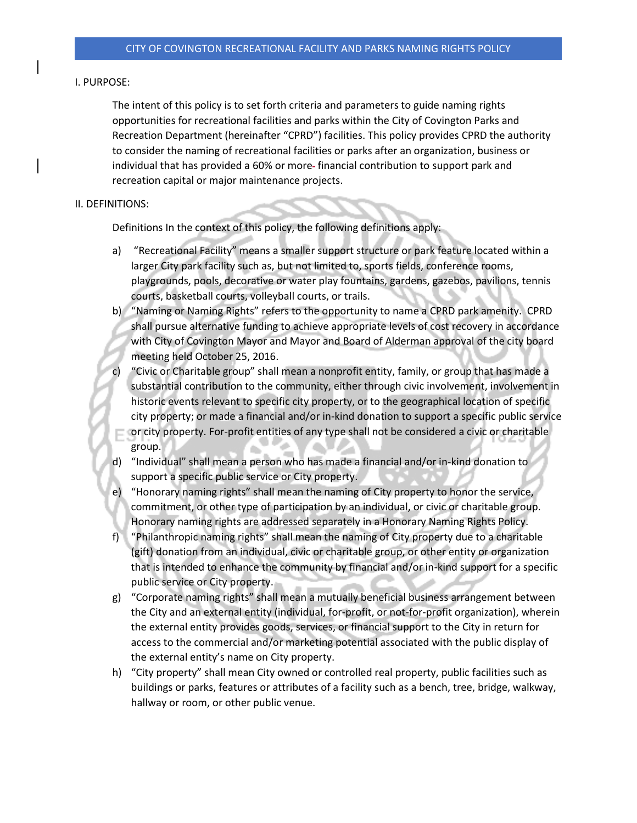## I. PURPOSE:

The intent of this policy is to set forth criteria and parameters to guide naming rights opportunities for recreational facilities and parks within the City of Covington Parks and Recreation Department (hereinafter "CPRD") facilities. This policy provides CPRD the authority to consider the naming of recreational facilities or parks after an organization, business or individual that has provided a 60% or more-financial contribution to support park and recreation capital or major maintenance projects.

## II. DEFINITIONS:

Definitions In the context of this policy, the following definitions apply:

- a) "Recreational Facility" means a smaller support structure or park feature located within a larger City park facility such as, but not limited to, sports fields, conference rooms, playgrounds, pools, decorative or water play fountains, gardens, gazebos, pavilions, tennis courts, basketball courts, volleyball courts, or trails.
- b) "Naming or Naming Rights" refers to the opportunity to name a CPRD park amenity. CPRD shall pursue alternative funding to achieve appropriate levels of cost recovery in accordance with City of Covington Mayor and Mayor and Board of Alderman approval of the city board meeting held October 25, 2016.
- c) "Civic or Charitable group" shall mean a nonprofit entity, family, or group that has made a substantial contribution to the community, either through civic involvement, involvement in historic events relevant to specific city property, or to the geographical location of specific city property; or made a financial and/or in-kind donation to support a specific public service
- or city property. For-profit entities of any type shall not be considered a civic or charitable group.
- d) "Individual" shall mean a person who has made a financial and/or in-kind donation to support a specific public service or City property.
- e) "Honorary naming rights" shall mean the naming of City property to honor the service, commitment, or other type of participation by an individual, or civic or charitable group. Honorary naming rights are addressed separately in a Honorary Naming Rights Policy.
- f) "Philanthropic naming rights" shall mean the naming of City property due to a charitable (gift) donation from an individual, civic or charitable group, or other entity or organization that is intended to enhance the community by financial and/or in-kind support for a specific public service or City property.
- g) "Corporate naming rights" shall mean a mutually beneficial business arrangement between the City and an external entity (individual, for-profit, or not-for-profit organization), wherein the external entity provides goods, services, or financial support to the City in return for access to the commercial and/or marketing potential associated with the public display of the external entity's name on City property.
- h) "City property" shall mean City owned or controlled real property, public facilities such as buildings or parks, features or attributes of a facility such as a bench, tree, bridge, walkway, hallway or room, or other public venue.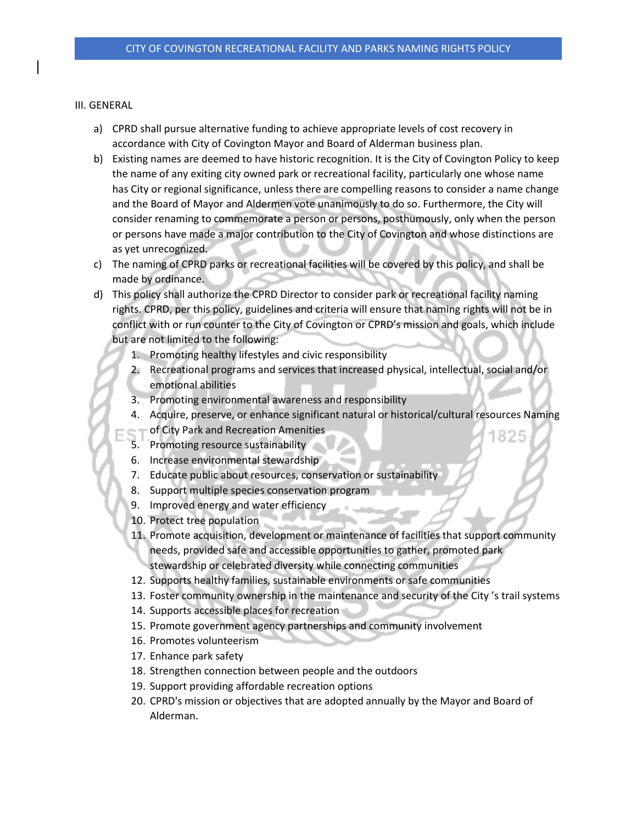## III. GENERAL

- a) CPRD shall pursue alternative funding to achieve appropriate levels of cost recovery in accordance with City of Covington Mayor and Board of Alderman business plan.
- b) Existing names are deemed to have historic recognition. It is the City of Covington Policy to keep the name of any exiting city owned park or recreational facility, particularly one whose name has City or regional significance, unless there are compelling reasons to consider a name change and the Board of Mayor and Aldermen vote unanimously to do so. Furthermore, the City will consider renaming to commemorate a person or persons, posthumously, only when the person or persons have made a major contribution to the City of Covington and whose distinctions are as yet unrecognized.
- c) The naming of CPRD parks or recreational facilities will be covered by this policy, and shall be made by ordinance.
- d) This policy shall authorize the CPRD Director to consider park or recreational facility naming rights. CPRD, per this policy, guidelines and criteria will ensure that naming rights will not be in conflict with or run counter to the City of Covington or CPRD's mission and goals, which include but are not limited to the following:
	- 1. Promoting healthy lifestyles and civic responsibility
	- 2. Recreational programs and services that increased physical, intellectual, social and/or emotional abilities
	- 3. Promoting environmental awareness and responsibility
	- 4. Acquire, preserve, or enhance significant natural or historical/cultural resources Naming
		- of City Park and Recreation Amenities
	- 5. Promoting resource sustainability
	- 6. Increase environmental stewardship
	- 7. Educate public about resources, conservation or sustainability
	- 8. Support multiple species conservation program
	- 9. Improved energy and water efficiency
	- 10. Protect tree population
	- 11. Promote acquisition, development or maintenance of facilities that support community needs, provided safe and accessible opportunities to gather, promoted park stewardship or celebrated diversity while connecting communities
	- 12. Supports healthy families, sustainable environments or safe communities
	- 13. Foster community ownership in the maintenance and security of the City 's trail systems
	- 14. Supports accessible places for recreation
	- 15. Promote government agency partnerships and community involvement
	- 16. Promotes volunteerism
	- 17. Enhance park safety
	- 18. Strengthen connection between people and the outdoors
	- 19. Support providing affordable recreation options
	- 20. CPRD's mission or objectives that are adopted annually by the Mayor and Board of Alderman.